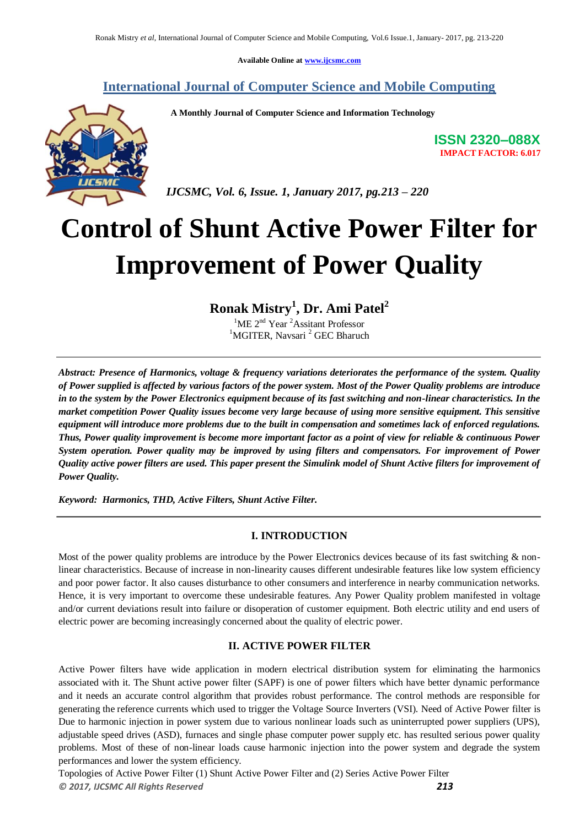**Available Online at www.ijcsmc.com**

# **International Journal of Computer Science and Mobile Computing**

 **A Monthly Journal of Computer Science and Information Technology**



**ISSN 2320–088X IMPACT FACTOR: 6.017**

 *IJCSMC, Vol. 6, Issue. 1, January 2017, pg.213 – 220*

# **Control of Shunt Active Power Filter for Improvement of Power Quality**

**Ronak Mistry<sup>1</sup> , Dr. Ami Patel<sup>2</sup>**

<sup>1</sup>ME 2<sup>nd</sup> Year<sup>2</sup> Assitant Professor <sup>1</sup>MGITER, Navsari<sup>2</sup> GEC Bharuch

*Abstract: Presence of Harmonics, voltage & frequency variations deteriorates the performance of the system. Quality of Power supplied is affected by various factors of the power system. Most of the Power Quality problems are introduce in to the system by the Power Electronics equipment because of its fast switching and non-linear characteristics. In the market competition Power Quality issues become very large because of using more sensitive equipment. This sensitive equipment will introduce more problems due to the built in compensation and sometimes lack of enforced regulations. Thus, Power quality improvement is become more important factor as a point of view for reliable & continuous Power System operation. Power quality may be improved by using filters and compensators. For improvement of Power Quality active power filters are used. This paper present the Simulink model of Shunt Active filters for improvement of Power Quality.*

*Keyword: Harmonics, THD, Active Filters, Shunt Active Filter.*

# **I. INTRODUCTION**

Most of the power quality problems are introduce by the Power Electronics devices because of its fast switching & nonlinear characteristics. Because of increase in non-linearity causes different undesirable features like low system efficiency and poor power factor. It also causes disturbance to other consumers and interference in nearby communication networks. Hence, it is very important to overcome these undesirable features. Any Power Quality problem manifested in voltage and/or current deviations result into failure or disoperation of customer equipment. Both electric utility and end users of electric power are becoming increasingly concerned about the quality of electric power.

# **II. ACTIVE POWER FILTER**

Active Power filters have wide application in modern electrical distribution system for eliminating the harmonics associated with it. The Shunt active power filter (SAPF) is one of power filters which have better dynamic performance and it needs an accurate control algorithm that provides robust performance. The control methods are responsible for generating the reference currents which used to trigger the Voltage Source Inverters (VSI). Need of Active Power filter is Due to harmonic injection in power system due to various nonlinear loads such as uninterrupted power suppliers (UPS), adjustable speed drives (ASD), furnaces and single phase computer power supply etc. has resulted serious power quality problems. Most of these of non-linear loads cause harmonic injection into the power system and degrade the system performances and lower the system efficiency.

*© 2017, IJCSMC All Rights Reserved 213* Topologies of Active Power Filter (1) Shunt Active Power Filter and (2) Series Active Power Filter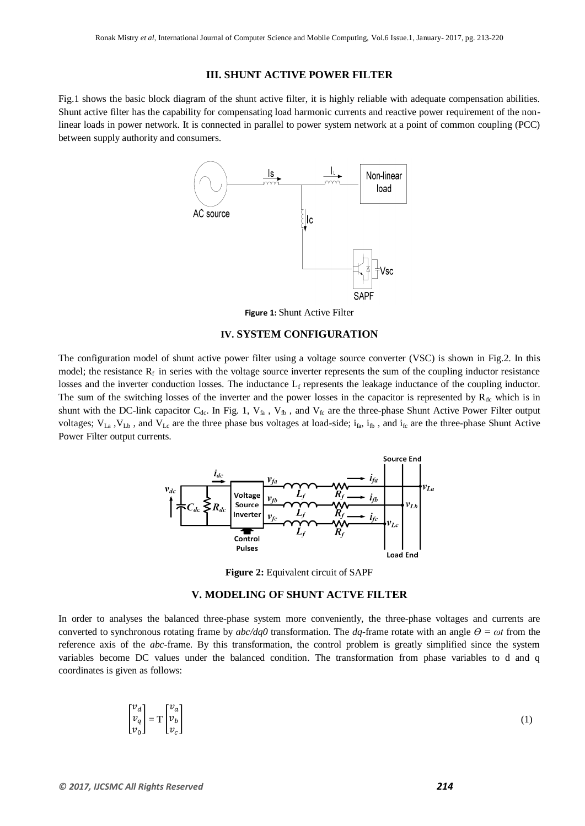#### **III. SHUNT ACTIVE POWER FILTER**

Fig.1 shows the basic block diagram of the shunt active filter, it is highly reliable with adequate compensation abilities. Shunt active filter has the capability for compensating load harmonic currents and reactive power requirement of the nonlinear loads in power network. It is connected in parallel to power system network at a point of common coupling (PCC) between supply authority and consumers.



**Figure 1:** Shunt Active Filter

#### **IV. SYSTEM CONFIGURATION**

The configuration model of shunt active power filter using a voltage source converter (VSC) is shown in Fig.2. In this model; the resistance  $R_f$  in series with the voltage source inverter represents the sum of the coupling inductor resistance losses and the inverter conduction losses. The inductance  $L_f$  represents the leakage inductance of the coupling inductor. The sum of the switching losses of the inverter and the power losses in the capacitor is represented by  $R_{dc}$  which is in shunt with the DC-link capacitor  $C_{dc}$ . In Fig. 1,  $V_{fa}$ ,  $V_{fb}$ , and  $V_{fc}$  are the three-phase Shunt Active Power Filter output voltages;  $V_{La}$ ,  $V_{Lb}$ , and  $V_{Lc}$  are the three phase bus voltages at load-side;  $i_{fa}$ ,  $i_{fb}$ , and  $i_{fc}$  are the three-phase Shunt Active Power Filter output currents.



**Figure 2:** Equivalent circuit of SAPF

#### **V. MODELING OF SHUNT ACTVE FILTER**

In order to analyses the balanced three-phase system more conveniently, the three-phase voltages and currents are converted to synchronous rotating frame by  $abc/dq0$  transformation. The  $dq$ -frame rotate with an angle  $\theta = \omega t$  from the reference axis of the *abc*-frame. By this transformation, the control problem is greatly simplified since the system variables become DC values under the balanced condition. The transformation from phase variables to d and q coordinates is given as follows:

$$
\begin{bmatrix} v_d \\ v_q \\ v_0 \end{bmatrix} = \mathbf{T} \begin{bmatrix} v_a \\ v_b \\ v_c \end{bmatrix} \tag{1}
$$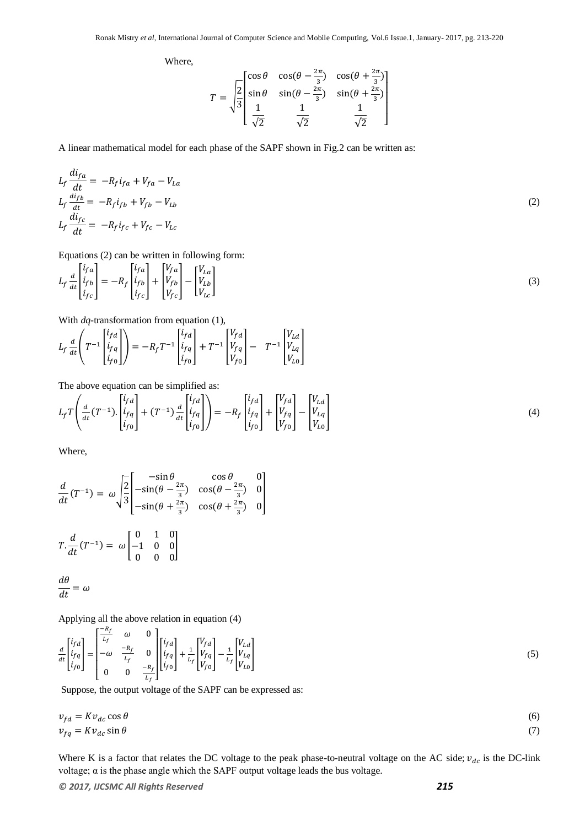Where,

$$
T = \sqrt{\frac{2}{3}} \begin{bmatrix} \cos \theta & \cos(\theta - \frac{2\pi}{3}) & \cos(\theta + \frac{2\pi}{3}) \\ \sin \theta & \sin(\theta - \frac{2\pi}{3}) & \sin(\theta + \frac{2\pi}{3}) \\ \frac{1}{\sqrt{2}} & \frac{1}{\sqrt{2}} & \frac{1}{\sqrt{2}} \end{bmatrix}
$$

A linear mathematical model for each phase of the SAPF shown in Fig.2 can be written as:

$$
L_f \frac{di_{fa}}{dt} = -R_f i_{fa} + V_{fa} - V_{La}
$$
  
\n
$$
L_f \frac{di_{fb}}{dt} = -R_f i_{fb} + V_{fb} - V_{Lb}
$$
  
\n
$$
L_f \frac{di_{fc}}{dt} = -R_f i_{fc} + V_{fc} - V_{Lc}
$$
\n(2)

Equations (2) can be written in following form:

$$
L_f \frac{d}{dt} \begin{bmatrix} i_{fa} \\ i_{fb} \\ i_{fc} \end{bmatrix} = -R_f \begin{bmatrix} i_{fa} \\ i_{fb} \\ i_{fc} \end{bmatrix} + \begin{bmatrix} V_{fa} \\ V_{fb} \\ V_{fc} \end{bmatrix} - \begin{bmatrix} V_{La} \\ V_{Lb} \\ V_{Lc} \end{bmatrix}
$$
 (3)

With *dq*-transformation from equation (1),

$$
L_f \frac{d}{dt} \left( T^{-1} \begin{bmatrix} i_{fd} \\ i_{fq} \\ i_{fo} \end{bmatrix} \right) = -R_f T^{-1} \begin{bmatrix} i_{fd} \\ i_{fq} \\ i_{fo} \end{bmatrix} + T^{-1} \begin{bmatrix} V_{fd} \\ V_{fq} \\ V_{fo} \end{bmatrix} - T^{-1} \begin{bmatrix} V_{Ld} \\ V_{Lq} \\ V_{Lo} \end{bmatrix}
$$

The above equation can be simplified as:

$$
L_f T\left(\frac{d}{dt}(T^{-1})\cdot\begin{bmatrix}i_{fd}\\i_{fq}\\i_{fo}\end{bmatrix}+(T^{-1})\frac{d}{dt}\begin{bmatrix}i_{fd}\\i_{fq}\\i_{fo}\end{bmatrix}\right) = -R_f \begin{bmatrix}i_{fd}\\i_{fq}\\i_{fo}\end{bmatrix} + \begin{bmatrix}V_{fd}\\V_{fq}\\V_{fo}\end{bmatrix} - \begin{bmatrix}V_{Ld}\\V_{Lq}\\V_{Lo}\end{bmatrix}
$$
(4)

Where,

$$
\frac{d}{dt}(T^{-1}) = \omega \sqrt{\frac{2}{3}} \begin{bmatrix} -\sin \theta & \cos \theta & 0\\ -\sin(\theta - \frac{2\pi}{3}) & \cos(\theta - \frac{2\pi}{3}) & 0\\ -\sin(\theta + \frac{2\pi}{3}) & \cos(\theta + \frac{2\pi}{3}) & 0 \end{bmatrix}
$$

$$
T \cdot \frac{d}{dt}(T^{-1}) = \omega \begin{bmatrix} 0 & 1 & 0\\ -1 & 0 & 0\\ 0 & 0 & 0 \end{bmatrix}
$$

 $\boldsymbol{d}$  $\boldsymbol{d}$ 

Applying all the above relation in equation (4)

$$
\frac{d}{dt} \begin{bmatrix} i_{fd} \\ i_{fq} \\ i_{fo} \end{bmatrix} = \begin{bmatrix} \frac{-R_f}{L_f} & \omega & 0 \\ -\omega & \frac{-R_f}{L_f} & 0 \\ 0 & 0 & \frac{-R_f}{L_f} \end{bmatrix} \begin{bmatrix} i_{fd} \\ i_{fq} \\ i_{fo} \end{bmatrix} + \frac{1}{L_f} \begin{bmatrix} V_{fd} \\ V_{fq} \\ V_{fo} \end{bmatrix} - \frac{1}{L_f} \begin{bmatrix} V_{Ld} \\ V_{Lq} \\ V_{Lo} \end{bmatrix} \tag{5}
$$

Suppose, the output voltage of the SAPF can be expressed as:

$$
v_{fd} = Kv_{dc} \cos \theta
$$
  
\n
$$
v_{fq} = Kv_{dc} \sin \theta
$$
\n(6)

Where K is a factor that relates the DC voltage to the peak phase-to-neutral voltage on the AC side;  $v_{dc}$  is the DC-link voltage;  $\alpha$  is the phase angle which the SAPF output voltage leads the bus voltage.

*© 2017, IJCSMC All Rights Reserved 215*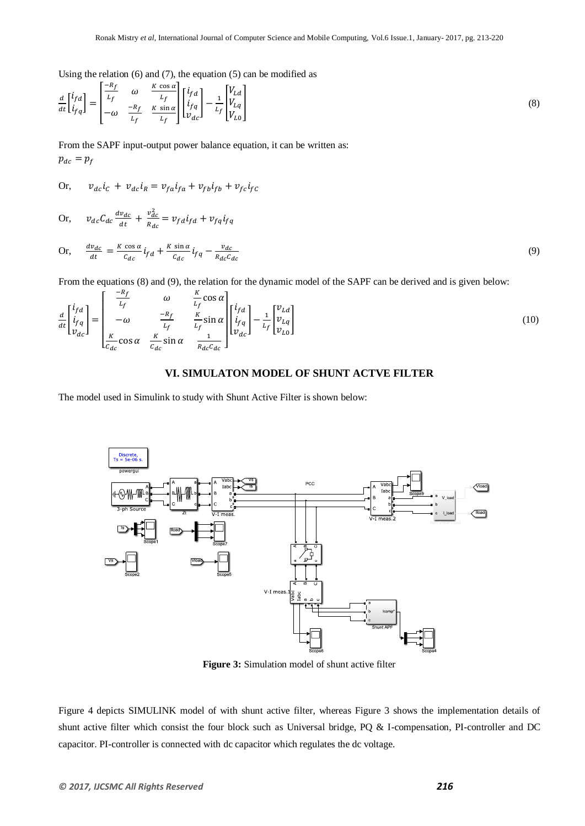Using the relation (6) and (7), the equation (5) can be modified as

$$
\frac{d}{dt} \begin{bmatrix} i_{fd} \\ i_{fq} \end{bmatrix} = \begin{bmatrix} \frac{-R_f}{L_f} & \omega & \frac{K \cos \alpha}{L_f} \\ -\omega & \frac{-R_f}{L_f} & \frac{K \sin \alpha}{L_f} \end{bmatrix} \begin{bmatrix} i_{fd} \\ i_{fq} \\ v_{dc} \end{bmatrix} - \frac{1}{L_f} \begin{bmatrix} V_{Ld} \\ V_{Lq} \\ V_{L0} \end{bmatrix} \tag{8}
$$

From the SAPF input-output power balance equation, it can be written as:  $p_{dc} = p_f$ 

Or, 
$$
v_{dc}i_c + v_{dc}i_R = v_{fa}i_{fa} + v_{fb}i_{fb} + v_{fc}i_{fc}
$$

Or, 
$$
v_{dc}C_{dc}\frac{dv_{dc}}{dt} + \frac{v_{dc}^2}{R_{dc}} = v_{fd}i_{fd} + v_{fq}i_{fq}
$$

Or, 
$$
\frac{dv_{dc}}{dt} = \frac{K \cos \alpha}{c_{dc}} i_{fd} + \frac{K \sin \alpha}{c_{dc}} i_{fq} - \frac{v_{dc}}{R_{dc}c_{dc}}
$$
(9)

From the equations (8) and (9), the relation for the dynamic model of the SAPF can be derived and is given below:  $-R_{\epsilon}$ 

$$
\frac{d}{dt} \begin{bmatrix} i_{fd} \\ i_{fq} \\ v_{dc} \end{bmatrix} = \begin{bmatrix} \frac{-R_f}{L_f} & \omega & \frac{K}{L_f} \cos \alpha \\ -\omega & \frac{-R_f}{L_f} & \frac{K}{L_f} \sin \alpha \\ \frac{K}{C_{dc}} \cos \alpha & \frac{K}{C_{dc}} \sin \alpha & \frac{1}{R_{dc} C_{dc}} \end{bmatrix} \begin{bmatrix} i_{fd} \\ i_{fq} \\ v_{dc} \end{bmatrix} - \frac{1}{L_f} \begin{bmatrix} v_{Ld} \\ v_{Lg} \\ v_{L0} \end{bmatrix} \tag{10}
$$

#### **VI. SIMULATON MODEL OF SHUNT ACTVE FILTER**

The model used in Simulink to study with Shunt Active Filter is shown below:



**Figure 3:** Simulation model of shunt active filter

Figure 4 depicts SIMULINK model of with shunt active filter, whereas Figure 3 shows the implementation details of shunt active filter which consist the four block such as Universal bridge, PQ & I-compensation, PI-controller and DC capacitor. PI-controller is connected with dc capacitor which regulates the dc voltage.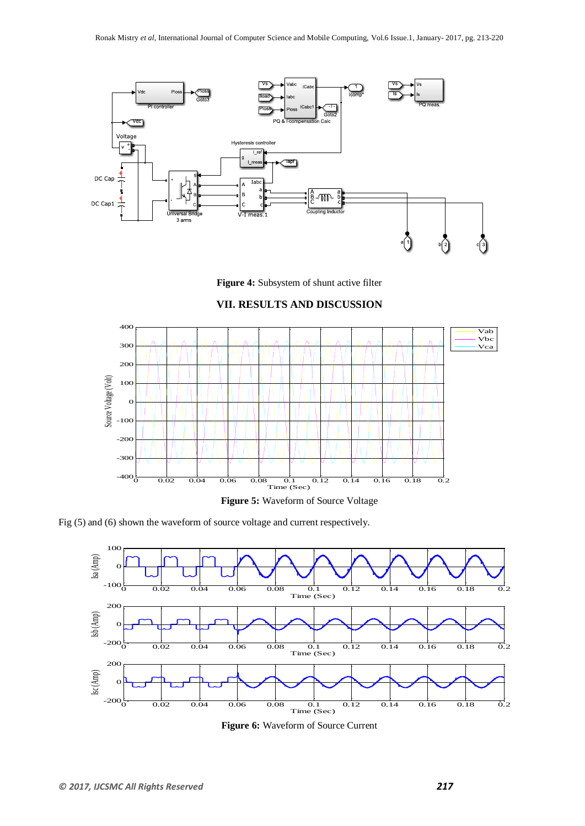

**Figure 4:** Subsystem of shunt active filter

# **VII. RESULTS AND DISCUSSION**



Fig (5) and (6) shown the waveform of source voltage and current respectively.



**Figure 6:** Waveform of Source Current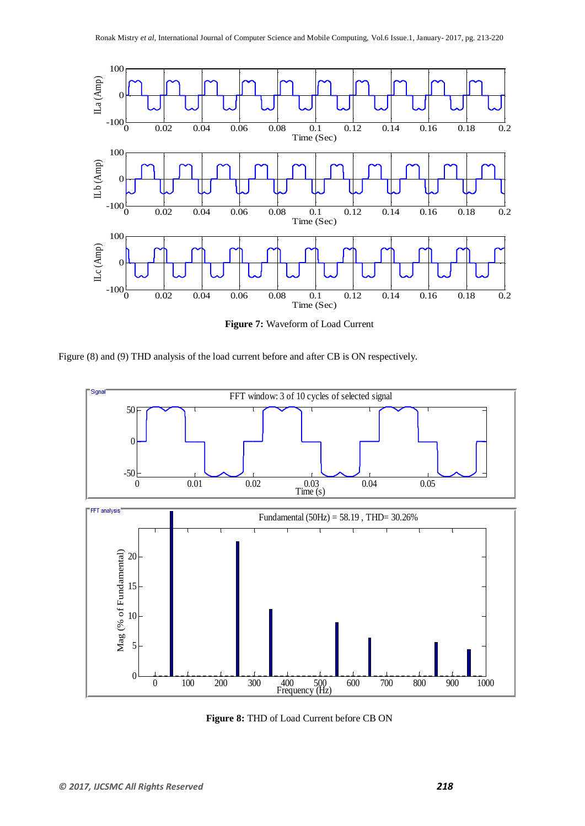

**Figure 7:** Waveform of Load Current

Figure (8) and (9) THD analysis of the load current before and after CB is ON respectively.



**Figure 8:** THD of Load Current before CB ON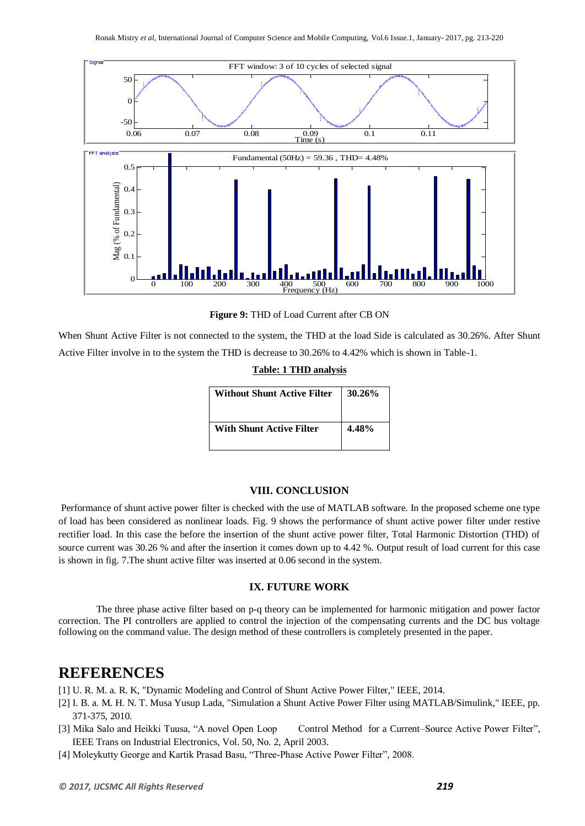

**Figure 9:** THD of Load Current after CB ON

When Shunt Active Filter is not connected to the system, the THD at the load Side is calculated as 30.26%. After Shunt Active Filter involve in to the system the THD is decrease to 30.26% to 4.42% which is shown in Table-1.

| <b>Table: 1 THD analysis</b> |
|------------------------------|
|------------------------------|

| <b>Without Shunt Active Filter</b> | $30.26\%$ |
|------------------------------------|-----------|
| <b>With Shunt Active Filter</b>    | 4.48%     |

#### **VIII. CONCLUSION**

Performance of shunt active power filter is checked with the use of MATLAB software. In the proposed scheme one type of load has been considered as nonlinear loads. Fig. 9 shows the performance of shunt active power filter under restive rectifier load. In this case the before the insertion of the shunt active power filter, Total Harmonic Distortion (THD) of source current was 30.26 % and after the insertion it comes down up to 4.42 %. Output result of load current for this case is shown in fig. 7.The shunt active filter was inserted at 0.06 second in the system.

#### **IX. FUTURE WORK**

The three phase active filter based on p-q theory can be implemented for harmonic mitigation and power factor correction. The PI controllers are applied to control the injection of the compensating currents and the DC bus voltage following on the command value. The design method of these controllers is completely presented in the paper.

# **REFERENCES**

- [1] U. R. M. a. R. K, "Dynamic Modeling and Control of Shunt Active Power Filter," IEEE, 2014.
- [2] I. B. a. M. H. N. T. Musa Yusup Lada, "Simulation a Shunt Active Power Filter using MATLAB/Simulink," IEEE, pp. 371-375, 2010.
- [3] Mika Salo and Heikki Tuusa, "A novel Open Loop Control Method for a Current–Source Active Power Filter", IEEE Trans on Industrial Electronics, Vol. 50, No. 2, April 2003.
- [4] Moleykutty George and Kartik Prasad Basu, "Three-Phase Active Power Filter", 2008.